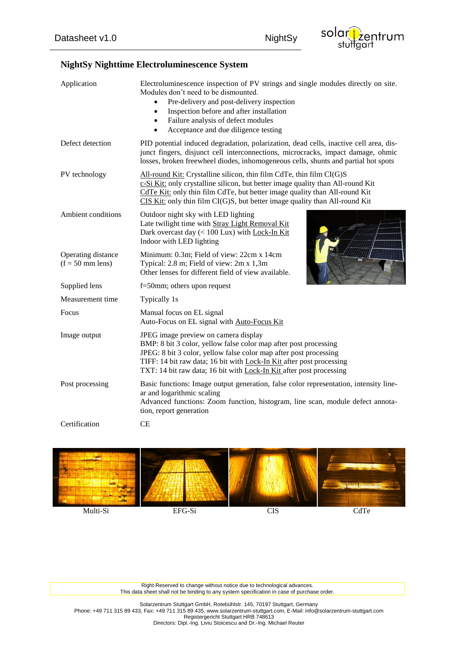## **NightSy Nighttime Electroluminescence System**

| Application                              | Electroluminescence inspection of PV strings and single modules directly on site.<br>Modules don't need to be dismounted.<br>Pre-delivery and post-delivery inspection<br>$\bullet$<br>Inspection before and after installation<br>$\bullet$<br>Failure analysis of defect modules<br>$\bullet$<br>Acceptance and due diligence testing<br>$\bullet$ |  |
|------------------------------------------|------------------------------------------------------------------------------------------------------------------------------------------------------------------------------------------------------------------------------------------------------------------------------------------------------------------------------------------------------|--|
| Defect detection                         | PID potential induced degradation, polarization, dead cells, inactive cell area, dis-<br>junct fingers, disjunct cell interconnections, microcracks, impact damage, ohmic<br>losses, broken freewheel diodes, inhomogeneous cells, shunts and partial hot spots                                                                                      |  |
| PV technology                            | All-round Kit: Crystalline silicon, thin film CdTe, thin film CI(G)S<br>c-Si Kit: only crystalline silicon, but better image quality than All-round Kit<br>CdTe Kit: only thin film CdTe, but better image quality than All-round Kit<br>CIS Kit: only thin film CI(G)S, but better image quality than All-round Kit                                 |  |
| Ambient conditions                       | Outdoor night sky with LED lighting<br>Late twilight time with Stray Light Removal Kit<br>Dark overcast day $(< 100$ Lux) with Lock-In Kit<br>Indoor with LED lighting                                                                                                                                                                               |  |
| Operating distance<br>$(f = 50$ mm lens) | Minimum: 0.3m; Field of view: 22cm x 14cm<br>Typical: 2.8 m; Field of view: 2m x 1,3m<br>Other lenses for different field of view available.                                                                                                                                                                                                         |  |
| Supplied lens                            | $f=50$ mm; others upon request                                                                                                                                                                                                                                                                                                                       |  |
| Measurement time                         | Typically 1s                                                                                                                                                                                                                                                                                                                                         |  |
| Focus                                    | Manual focus on EL signal<br>Auto-Focus on EL signal with Auto-Focus Kit                                                                                                                                                                                                                                                                             |  |
| Image output                             | JPEG image preview on camera display<br>BMP: 8 bit 3 color, yellow false color map after post processing<br>JPEG: 8 bit 3 color, yellow false color map after post processing<br>TIFF: 14 bit raw data; 16 bit with Lock-In Kit after post processing<br>TXT: 14 bit raw data; 16 bit with Lock-In Kit after post processing                         |  |
| Post processing                          | Basic functions: Image output generation, false color representation, intensity line-<br>ar and logarithmic scaling<br>Advanced functions: Zoom function, histogram, line scan, module defect annota-<br>tion, report generation                                                                                                                     |  |
| Certification                            | <b>CE</b>                                                                                                                                                                                                                                                                                                                                            |  |



Right Reserved to change without notice due to technological advances. This data sheet shall not be binding to any system specification in case of purchase order.

Solarzentrum Stuttgart GmbH, Rotebühlstr. 145, 70197 Stuttgart, Germany Phone: +49 711 315 89 433, Fax: +49 711 315 89 435, www.solarzentrum-stuttgart.com, E-Mail: info@solarzentrum-stuttgart.com Registergericht Stuttgart HRB 748613 Directors: Dipl.-Ing. Liviu Stoicescu and Dr.-Ing. Michael Reuter